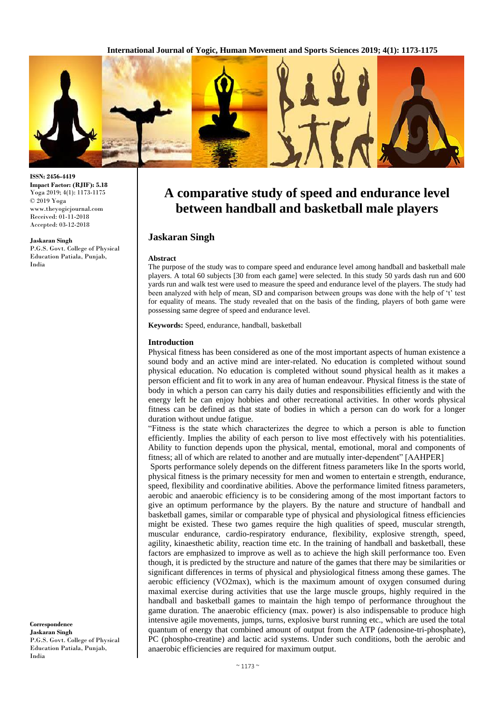**International Journal of Yogic, Human Movement and Sports Sciences 2019; 4(1): 1173-1175**



**ISSN: 2456-4419 Impact Factor: (RJIF): 5.18** Yoga 2019; 4(1): 1173-1175 © 2019 Yoga www.theyogicjournal.com Received: 01-11-2018 Accepted: 03-12-2018

#### **Jaskaran Singh**

P.G.S. Govt. College of Physical Education Patiala, Punjab, India

**Correspondence Jaskaran Singh** P.G.S. Govt. College of Physical Education Patiala, Punjab, India

# **A comparative study of speed and endurance level between handball and basketball male players**

# **Jaskaran Singh**

#### **Abstract**

The purpose of the study was to compare speed and endurance level among handball and basketball male players. A total 60 subjects [30 from each game] were selected. In this study 50 yards dash run and 600 yards run and walk test were used to measure the speed and endurance level of the players. The study had been analyzed with help of mean, SD and comparison between groups was done with the help of 't' test for equality of means. The study revealed that on the basis of the finding, players of both game were possessing same degree of speed and endurance level.

**Keywords:** Speed, endurance, handball, basketball

#### **Introduction**

Physical fitness has been considered as one of the most important aspects of human existence a sound body and an active mind are inter-related. No education is completed without sound physical education. No education is completed without sound physical health as it makes a person efficient and fit to work in any area of human endeavour. Physical fitness is the state of body in which a person can carry his daily duties and responsibilities efficiently and with the energy left he can enjoy hobbies and other recreational activities. In other words physical fitness can be defined as that state of bodies in which a person can do work for a longer duration without undue fatigue.

"Fitness is the state which characterizes the degree to which a person is able to function efficiently. Implies the ability of each person to live most effectively with his potentialities. Ability to function depends upon the physical, mental, emotional, moral and components of fitness; all of which are related to another and are mutually inter-dependent" [AAHPER]

Sports performance solely depends on the different fitness parameters like In the sports world, physical fitness is the primary necessity for men and women to entertain e strength, endurance, speed, flexibility and coordinative abilities. Above the performance limited fitness parameters, aerobic and anaerobic efficiency is to be considering among of the most important factors to give an optimum performance by the players. By the nature and structure of handball and basketball games, similar or comparable type of physical and physiological fitness efficiencies might be existed. These two games require the high qualities of speed, muscular strength, muscular endurance, cardio-respiratory endurance, flexibility, explosive strength, speed, agility, kinaesthetic ability, reaction time etc. In the training of handball and basketball, these factors are emphasized to improve as well as to achieve the high skill performance too. Even though, it is predicted by the structure and nature of the games that there may be similarities or significant differences in terms of physical and physiological fitness among these games. The aerobic efficiency (VO2max), which is the maximum amount of oxygen consumed during maximal exercise during activities that use the large muscle groups, highly required in the handball and basketball games to maintain the high tempo of performance throughout the game duration. The anaerobic efficiency (max. power) is also indispensable to produce high intensive agile movements, jumps, turns, explosive burst running etc., which are used the total quantum of energy that combined amount of output from the ATP (adenosine-tri-phosphate), PC (phospho-creatine) and lactic acid systems. Under such conditions, both the aerobic and anaerobic efficiencies are required for maximum output.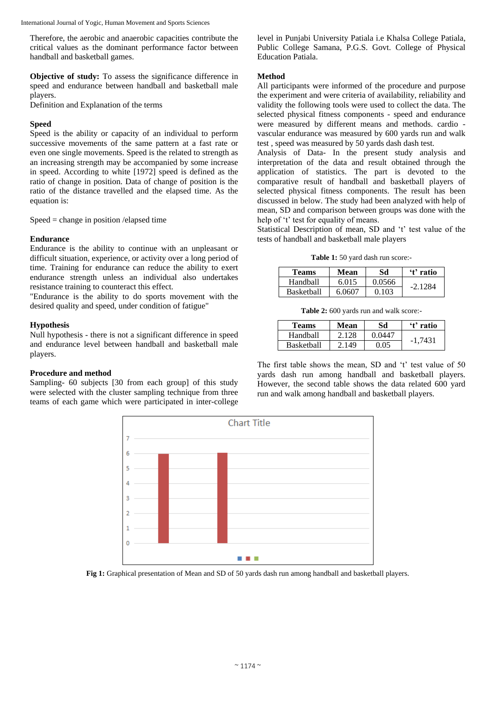International Journal of Yogic, Human Movement and Sports Sciences

Therefore, the aerobic and anaerobic capacities contribute the critical values as the dominant performance factor between handball and basketball games.

**Objective of study:** To assess the significance difference in speed and endurance between handball and basketball male players.

Definition and Explanation of the terms

# **Speed**

Speed is the ability or capacity of an individual to perform successive movements of the same pattern at a fast rate or even one single movements. Speed is the related to strength as an increasing strength may be accompanied by some increase in speed. According to white [1972] speed is defined as the ratio of change in position. Data of change of position is the ratio of the distance travelled and the elapsed time. As the equation is:

Speed = change in position /elapsed time

# **Endurance**

Endurance is the ability to continue with an unpleasant or difficult situation, experience, or activity over a long period of time. Training for endurance can reduce the ability to exert endurance strength unless an individual also undertakes resistance training to counteract this effect.

"Endurance is the ability to do sports movement with the desired quality and speed, under condition of fatigue"

## **Hypothesis**

Null hypothesis - there is not a significant difference in speed and endurance level between handball and basketball male players.

## **Procedure and method**

Sampling- 60 subjects [30 from each group] of this study were selected with the cluster sampling technique from three teams of each game which were participated in inter-college level in Punjabi University Patiala i.e Khalsa College Patiala, Public College Samana, P.G.S. Govt. College of Physical Education Patiala.

## **Method**

All participants were informed of the procedure and purpose the experiment and were criteria of availability, reliability and validity the following tools were used to collect the data. The selected physical fitness components - speed and endurance were measured by different means and methods. cardio vascular endurance was measured by 600 yards run and walk test , speed was measured by 50 yards dash dash test.

Analysis of Data- In the present study analysis and interpretation of the data and result obtained through the application of statistics. The part is devoted to the comparative result of handball and basketball players of selected physical fitness components. The result has been discussed in below. The study had been analyzed with help of mean, SD and comparison between groups was done with the help of 't' test for equality of means.

Statistical Description of mean, SD and 't' test value of the tests of handball and basketball male players

**Table 1:** 50 yard dash run score:-

| Teams             | Mean   | Sd     | 't' ratio |
|-------------------|--------|--------|-----------|
| Handball          | 6.015  | 0.0566 | $-2.1284$ |
| <b>Basketball</b> | 6.0607 | 0.103  |           |

**Table 2:** 600 yards run and walk score:-

| <b>Teams</b>      | Mean  | Sd     | 't' ratio |
|-------------------|-------|--------|-----------|
| Handball          | 2.128 | 0.0447 | $-1.7431$ |
| <b>Basketball</b> | 2.149 | 0.05   |           |

The first table shows the mean, SD and 't' test value of 50 yards dash run among handball and basketball players. However, the second table shows the data related 600 yard run and walk among handball and basketball players.



**Fig 1:** Graphical presentation of Mean and SD of 50 yards dash run among handball and basketball players.